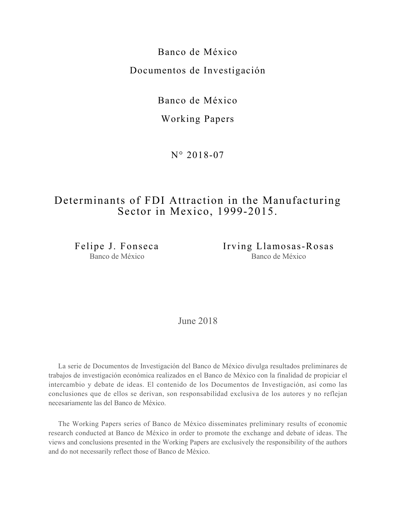Banco de México Documentos de Investigación

Banco de México

Working Papers

N° 2018-07

# Determinants of FDI Attraction in the Manufacturing Sector in Mexico, 1999-2015.

Felipe J. Fonseca Banco de México

Irving Llamosas-Rosas Banco de México

June 2018

La serie de Documentos de Investigación del Banco de México divulga resultados preliminares de trabajos de investigación económica realizados en el Banco de México con la finalidad de propiciar el intercambio y debate de ideas. El contenido de los Documentos de Investigación, así como las conclusiones que de ellos se derivan, son responsabilidad exclusiva de los autores y no reflejan necesariamente las del Banco de México.

The Working Papers series of Banco de México disseminates preliminary results of economic research conducted at Banco de México in order to promote the exchange and debate of ideas. The views and conclusions presented in the Working Papers are exclusively the responsibility of the authors and do not necessarily reflect those of Banco de México.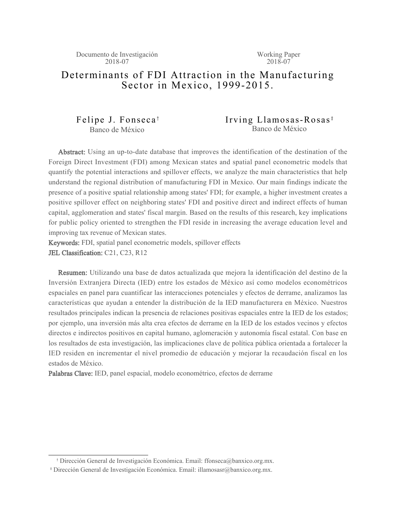## Determinants of FDI Attraction in the Manufacturing Sector in Mexico, 1999-2015.

Felipe J. Fonseca † Banco de México

## Irving Llamosas-Rosas<sup>‡</sup> Banco de México

Abstract: Using an up-to-date database that improves the identification of the destination of the Foreign Direct Investment (FDI) among Mexican states and spatial panel econometric models that quantify the potential interactions and spillover effects, we analyze the main characteristics that help understand the regional distribution of manufacturing FDI in Mexico. Our main findings indicate the presence of a positive spatial relationship among states' FDI; for example, a higher investment creates a positive spillover effect on neighboring states' FDI and positive direct and indirect effects of human capital, agglomeration and states' fiscal margin. Based on the results of this research, key implications for public policy oriented to strengthen the FDI reside in increasing the average education level and improving tax revenue of Mexican states.

Keywords: FDI, spatial panel econometric models, spillover effects JEL Classification: C21, C23, R12

Resumen: Utilizando una base de datos actualizada que mejora la identificación del destino de la Inversión Extranjera Directa (IED) entre los estados de México así como modelos econométricos espaciales en panel para cuantificar las interacciones potenciales y efectos de derrame, analizamos las características que ayudan a entender la distribución de la IED manufacturera en México. Nuestros resultados principales indican la presencia de relaciones positivas espaciales entre la IED de los estados; por ejemplo, una inversión más alta crea efectos de derrame en la IED de los estados vecinos y efectos directos e indirectos positivos en capital humano, aglomeración y autonomía fiscal estatal. Con base en los resultados de esta investigación, las implicaciones clave de política pública orientada a fortalecer la IED residen en incrementar el nivel promedio de educación y mejorar la recaudación fiscal en los estados de México.

Palabras Clave: IED, panel espacial, modelo econométrico, efectos de derrame

<sup>†</sup> Dirección General de Investigación Económica. Email: ffonseca@banxico.org.mx.

<sup>‡</sup> Dirección General de Investigación Económica. Email: illamosasr@banxico.org.mx.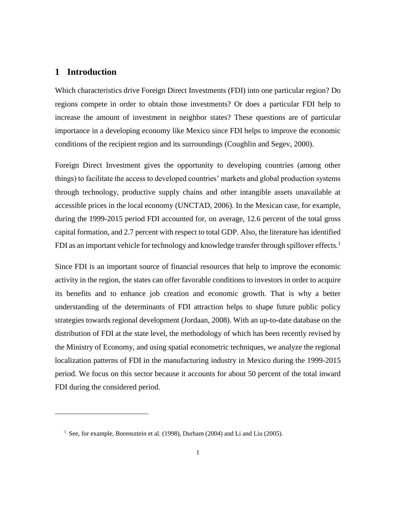## **1 Introduction**

Which characteristics drive Foreign Direct Investments (FDI) into one particular region? Do regions compete in order to obtain those investments? Or does a particular FDI help to increase the amount of investment in neighbor states? These questions are of particular importance in a developing economy like Mexico since FDI helps to improve the economic conditions of the recipient region and its surroundings (Coughlin and Segev, 2000).

Foreign Direct Investment gives the opportunity to developing countries (among other things) to facilitate the access to developed countries' markets and global production systems through technology, productive supply chains and other intangible assets unavailable at accessible prices in the local economy (UNCTAD, 2006). In the Mexican case, for example, during the 1999-2015 period FDI accounted for, on average, 12.6 percent of the total gross capital formation, and 2.7 percent with respect to total GDP. Also, the literature has identified FDI as an important vehicle for technology and knowledge transfer through spillover effects.<sup>1</sup>

Since FDI is an important source of financial resources that help to improve the economic activity in the region, the states can offer favorable conditions to investors in order to acquire its benefits and to enhance job creation and economic growth. That is why a better understanding of the determinants of FDI attraction helps to shape future public policy strategies towards regional development (Jordaan, 2008). With an up-to-date database on the distribution of FDI at the state level, the methodology of which has been recently revised by the Ministry of Economy, and using spatial econometric techniques, we analyze the regional localization patterns of FDI in the manufacturing industry in Mexico during the 1999-2015 period. We focus on this sector because it accounts for about 50 percent of the total inward FDI during the considered period.

<sup>&</sup>lt;sup>1</sup> See, for example, Borensztein et al. (1998), Durham (2004) and Li and Liu (2005).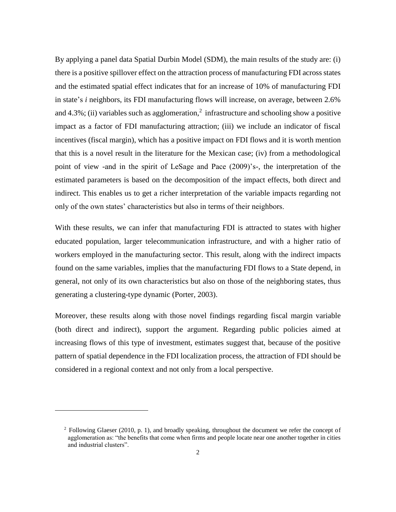By applying a panel data Spatial Durbin Model (SDM), the main results of the study are: (i) there is a positive spillover effect on the attraction process of manufacturing FDI across states and the estimated spatial effect indicates that for an increase of 10% of manufacturing FDI in state's *i* neighbors, its FDI manufacturing flows will increase, on average, between 2.6% and  $4.3\%$ ; (ii) variables such as agglomeration,<sup>2</sup> infrastructure and schooling show a positive impact as a factor of FDI manufacturing attraction; (iii) we include an indicator of fiscal incentives (fiscal margin), which has a positive impact on FDI flows and it is worth mention that this is a novel result in the literature for the Mexican case; (iv) from a methodological point of view -and in the spirit of LeSage and Pace (2009)'s-, the interpretation of the estimated parameters is based on the decomposition of the impact effects, both direct and indirect. This enables us to get a richer interpretation of the variable impacts regarding not only of the own states' characteristics but also in terms of their neighbors.

With these results, we can infer that manufacturing FDI is attracted to states with higher educated population, larger telecommunication infrastructure, and with a higher ratio of workers employed in the manufacturing sector. This result, along with the indirect impacts found on the same variables, implies that the manufacturing FDI flows to a State depend, in general, not only of its own characteristics but also on those of the neighboring states, thus generating a clustering-type dynamic (Porter, 2003).

Moreover, these results along with those novel findings regarding fiscal margin variable (both direct and indirect), support the argument. Regarding public policies aimed at increasing flows of this type of investment, estimates suggest that, because of the positive pattern of spatial dependence in the FDI localization process, the attraction of FDI should be considered in a regional context and not only from a local perspective.

<u>.</u>

<sup>&</sup>lt;sup>2</sup> Following Glaeser (2010, p. 1), and broadly speaking, throughout the document we refer the concept of agglomeration as: "the benefits that come when firms and people locate near one another together in cities and industrial clusters".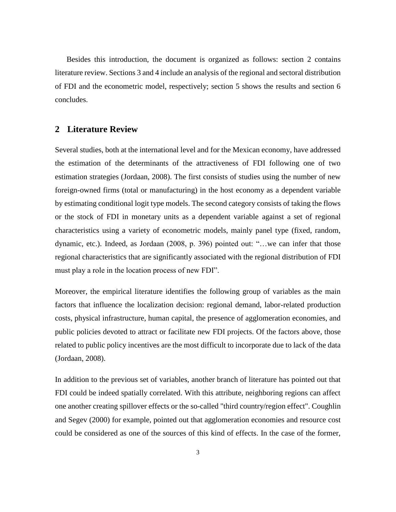Besides this introduction, the document is organized as follows: section 2 contains literature review. Sections 3 and 4 include an analysis of the regional and sectoral distribution of FDI and the econometric model, respectively; section 5 shows the results and section 6 concludes.

## **2 Literature Review**

Several studies, both at the international level and for the Mexican economy, have addressed the estimation of the determinants of the attractiveness of FDI following one of two estimation strategies (Jordaan, 2008). The first consists of studies using the number of new foreign-owned firms (total or manufacturing) in the host economy as a dependent variable by estimating conditional logit type models. The second category consists of taking the flows or the stock of FDI in monetary units as a dependent variable against a set of regional characteristics using a variety of econometric models, mainly panel type (fixed, random, dynamic, etc.). Indeed, as Jordaan (2008, p. 396) pointed out: "…we can infer that those regional characteristics that are significantly associated with the regional distribution of FDI must play a role in the location process of new FDI".

Moreover, the empirical literature identifies the following group of variables as the main factors that influence the localization decision: regional demand, labor-related production costs, physical infrastructure, human capital, the presence of agglomeration economies, and public policies devoted to attract or facilitate new FDI projects. Of the factors above, those related to public policy incentives are the most difficult to incorporate due to lack of the data (Jordaan, 2008).

In addition to the previous set of variables, another branch of literature has pointed out that FDI could be indeed spatially correlated. With this attribute, neighboring regions can affect one another creating spillover effects or the so-called "third country/region effect". Coughlin and Segev (2000) for example, pointed out that agglomeration economies and resource cost could be considered as one of the sources of this kind of effects. In the case of the former,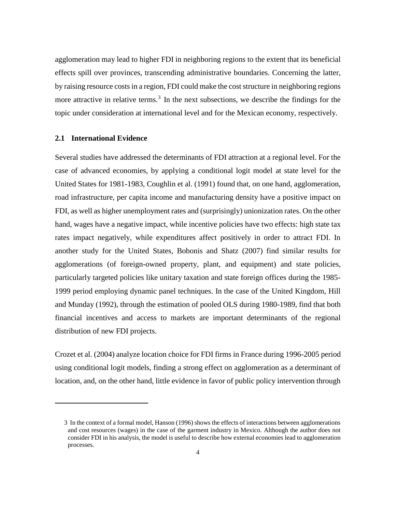agglomeration may lead to higher FDI in neighboring regions to the extent that its beneficial effects spill over provinces, transcending administrative boundaries. Concerning the latter, by raising resource costs in a region, FDI could make the cost structure in neighboring regions more attractive in relative terms.<sup>3</sup> In the next subsections, we describe the findings for the topic under consideration at international level and for the Mexican economy, respectively.

#### **2.1 International Evidence**

1

Several studies have addressed the determinants of FDI attraction at a regional level. For the case of advanced economies, by applying a conditional logit model at state level for the United States for 1981-1983, Coughlin et al. (1991) found that, on one hand, agglomeration, road infrastructure, per capita income and manufacturing density have a positive impact on FDI, as well as higher unemployment rates and (surprisingly) unionization rates. On the other hand, wages have a negative impact, while incentive policies have two effects: high state tax rates impact negatively, while expenditures affect positively in order to attract FDI. In another study for the United States, Bobonis and Shatz (2007) find similar results for agglomerations (of foreign-owned property, plant, and equipment) and state policies, particularly targeted policies like unitary taxation and state foreign offices during the 1985- 1999 period employing dynamic panel techniques. In the case of the United Kingdom, Hill and Munday (1992), through the estimation of pooled OLS during 1980-1989, find that both financial incentives and access to markets are important determinants of the regional distribution of new FDI projects.

Crozet et al. (2004) analyze location choice for FDI firms in France during 1996-2005 period using conditional logit models, finding a strong effect on agglomeration as a determinant of location, and, on the other hand, little evidence in favor of public policy intervention through

<sup>3</sup> In the context of a formal model, Hanson (1996) shows the effects of interactions between agglomerations and cost resources (wages) in the case of the garment industry in Mexico. Although the author does not consider FDI in his analysis, the model is useful to describe how external economies lead to agglomeration processes.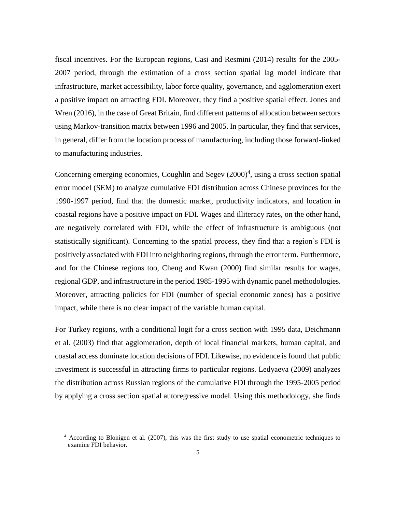fiscal incentives. For the European regions, Casi and Resmini (2014) results for the 2005- 2007 period, through the estimation of a cross section spatial lag model indicate that infrastructure, market accessibility, labor force quality, governance, and agglomeration exert a positive impact on attracting FDI. Moreover, they find a positive spatial effect. Jones and Wren (2016), in the case of Great Britain, find different patterns of allocation between sectors using Markov-transition matrix between 1996 and 2005. In particular, they find that services, in general, differ from the location process of manufacturing, including those forward-linked to manufacturing industries.

Concerning emerging economies, Coughlin and Segev  $(2000)^4$ , using a cross section spatial error model (SEM) to analyze cumulative FDI distribution across Chinese provinces for the 1990-1997 period, find that the domestic market, productivity indicators, and location in coastal regions have a positive impact on FDI. Wages and illiteracy rates, on the other hand, are negatively correlated with FDI, while the effect of infrastructure is ambiguous (not statistically significant). Concerning to the spatial process, they find that a region's FDI is positively associated with FDI into neighboring regions, through the error term. Furthermore, and for the Chinese regions too, Cheng and Kwan (2000) find similar results for wages, regional GDP, and infrastructure in the period 1985-1995 with dynamic panel methodologies. Moreover, attracting policies for FDI (number of special economic zones) has a positive impact, while there is no clear impact of the variable human capital.

For Turkey regions, with a conditional logit for a cross section with 1995 data, Deichmann et al. (2003) find that agglomeration, depth of local financial markets, human capital, and coastal access dominate location decisions of FDI. Likewise, no evidence is found that public investment is successful in attracting firms to particular regions. Ledyaeva (2009) analyzes the distribution across Russian regions of the cumulative FDI through the 1995-2005 period by applying a cross section spatial autoregressive model. Using this methodology, she finds

<u>.</u>

<sup>4</sup> According to Blonigen et al. (2007), this was the first study to use spatial econometric techniques to examine FDI behavior.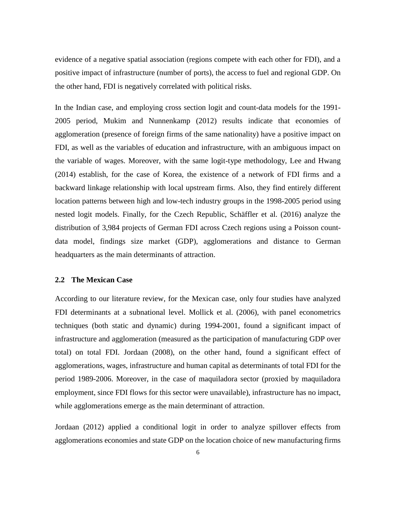evidence of a negative spatial association (regions compete with each other for FDI), and a positive impact of infrastructure (number of ports), the access to fuel and regional GDP. On the other hand, FDI is negatively correlated with political risks.

In the Indian case, and employing cross section logit and count-data models for the 1991- 2005 period, Mukim and Nunnenkamp (2012) results indicate that economies of agglomeration (presence of foreign firms of the same nationality) have a positive impact on FDI, as well as the variables of education and infrastructure, with an ambiguous impact on the variable of wages. Moreover, with the same logit-type methodology, Lee and Hwang (2014) establish, for the case of Korea, the existence of a network of FDI firms and a backward linkage relationship with local upstream firms. Also, they find entirely different location patterns between high and low-tech industry groups in the 1998-2005 period using nested logit models. Finally, for the Czech Republic, Schäffler et al. (2016) analyze the distribution of 3,984 projects of German FDI across Czech regions using a Poisson countdata model, findings size market (GDP), agglomerations and distance to German headquarters as the main determinants of attraction.

#### **2.2 The Mexican Case**

According to our literature review, for the Mexican case, only four studies have analyzed FDI determinants at a subnational level. Mollick et al. (2006), with panel econometrics techniques (both static and dynamic) during 1994-2001, found a significant impact of infrastructure and agglomeration (measured as the participation of manufacturing GDP over total) on total FDI. Jordaan (2008), on the other hand, found a significant effect of agglomerations, wages, infrastructure and human capital as determinants of total FDI for the period 1989-2006. Moreover, in the case of maquiladora sector (proxied by maquiladora employment, since FDI flows for this sector were unavailable), infrastructure has no impact, while agglomerations emerge as the main determinant of attraction.

Jordaan (2012) applied a conditional logit in order to analyze spillover effects from agglomerations economies and state GDP on the location choice of new manufacturing firms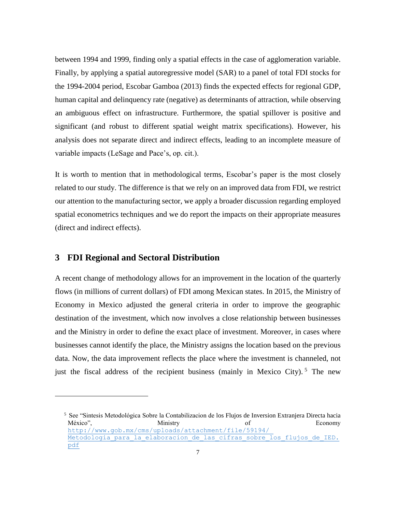between 1994 and 1999, finding only a spatial effects in the case of agglomeration variable. Finally, by applying a spatial autoregressive model (SAR) to a panel of total FDI stocks for the 1994-2004 period, Escobar Gamboa (2013) finds the expected effects for regional GDP, human capital and delinquency rate (negative) as determinants of attraction, while observing an ambiguous effect on infrastructure. Furthermore, the spatial spillover is positive and significant (and robust to different spatial weight matrix specifications). However, his analysis does not separate direct and indirect effects, leading to an incomplete measure of variable impacts (LeSage and Pace's, op. cit.).

It is worth to mention that in methodological terms, Escobar's paper is the most closely related to our study. The difference is that we rely on an improved data from FDI, we restrict our attention to the manufacturing sector, we apply a broader discussion regarding employed spatial econometrics techniques and we do report the impacts on their appropriate measures (direct and indirect effects).

## **3 FDI Regional and Sectoral Distribution**

<u>.</u>

A recent change of methodology allows for an improvement in the location of the quarterly flows (in millions of current dollars) of FDI among Mexican states. In 2015, the Ministry of Economy in Mexico adjusted the general criteria in order to improve the geographic destination of the investment, which now involves a close relationship between businesses and the Ministry in order to define the exact place of investment. Moreover, in cases where businesses cannot identify the place, the Ministry assigns the location based on the previous data. Now, the data improvement reflects the place where the investment is channeled, not just the fiscal address of the recipient business (mainly in Mexico City).<sup>5</sup> The new

<sup>5</sup> See "Sintesis Metodológica Sobre la Contabilizacion de los Flujos de Inversion Extranjera Directa hacia México", Ministry Ministry of Economy Mexico", Research Ministry of Economy Ministry of Economy News [http://www.gob.mx/cms/uploads/attachment/file/59194/](http://www.gob.mx/cms/uploads/attachment/file/59194/%20Metodologia_para_la_elaboracion_de_las_cifras_sobre_los_flujos_de_IED.pdf)  Metodologia para la elaboracion de las cifras sobre los flujos de IED. [pdf](http://www.gob.mx/cms/uploads/attachment/file/59194/%20Metodologia_para_la_elaboracion_de_las_cifras_sobre_los_flujos_de_IED.pdf)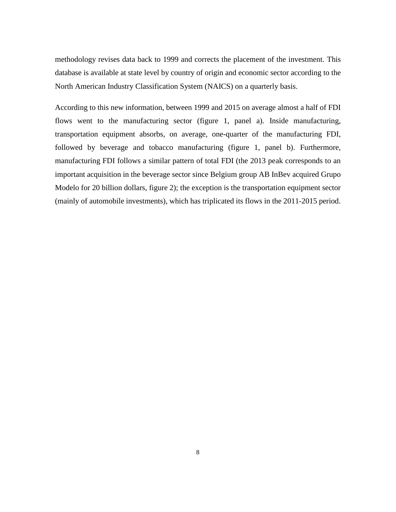methodology revises data back to 1999 and corrects the placement of the investment. This database is available at state level by country of origin and economic sector according to the North American Industry Classification System (NAICS) on a quarterly basis.

According to this new information, between 1999 and 2015 on average almost a half of FDI flows went to the manufacturing sector (figure 1, panel a). Inside manufacturing, transportation equipment absorbs, on average, one-quarter of the manufacturing FDI, followed by beverage and tobacco manufacturing (figure 1, panel b). Furthermore, manufacturing FDI follows a similar pattern of total FDI (the 2013 peak corresponds to an important acquisition in the beverage sector since Belgium group AB InBev acquired Grupo Modelo for 20 billion dollars, figure 2); the exception is the transportation equipment sector (mainly of automobile investments), which has triplicated its flows in the 2011-2015 period.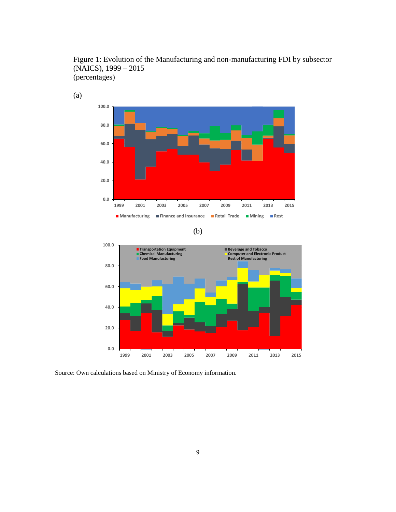

Figure 1: Evolution of the Manufacturing and non-manufacturing FDI by subsector (NAICS), 1999 – 2015 (percentages)





Source: Own calculations based on Ministry of Economy information.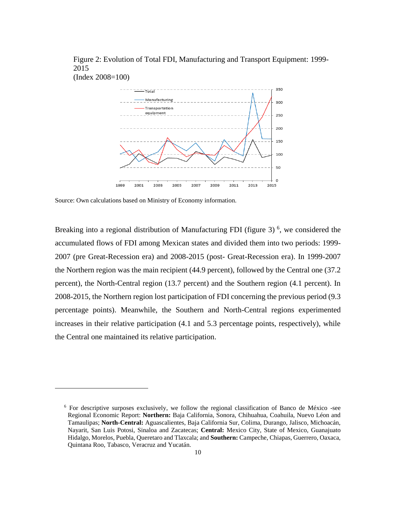Figure 2: Evolution of Total FDI, Manufacturing and Transport Equipment: 1999- 2015



Source: Own calculations based on Ministry of Economy information.

<u>.</u>

Breaking into a regional distribution of Manufacturing FDI (figure 3)<sup>6</sup>, we considered the accumulated flows of FDI among Mexican states and divided them into two periods: 1999- 2007 (pre Great-Recession era) and 2008-2015 (post- Great-Recession era). In 1999-2007 the Northern region was the main recipient (44.9 percent), followed by the Central one (37.2 percent), the North-Central region (13.7 percent) and the Southern region (4.1 percent). In 2008-2015, the Northern region lost participation of FDI concerning the previous period (9.3 percentage points). Meanwhile, the Southern and North-Central regions experimented increases in their relative participation (4.1 and 5.3 percentage points, respectively), while the Central one maintained its relative participation.

<sup>6</sup> For descriptive surposes exclusively, we follow the regional classification of Banco de México -see Regional Economic Report: **Northern:** Baja California, Sonora, Chihuahua, Coahuila, Nuevo Léon and Tamaulipas; **North-Central:** Aguascalientes, Baja California Sur, Colima, Durango, Jalisco, Michoacán, Nayarit, San Luis Potosi, Sinaloa and Zacatecas; **Central:** Mexico City, State of Mexico, Guanajuato Hidalgo, Morelos, Puebla, Queretaro and Tlaxcala; and **Southern:** Campeche, Chiapas, Guerrero, Oaxaca, Quintana Roo, Tabasco, Veracruz and Yucatán.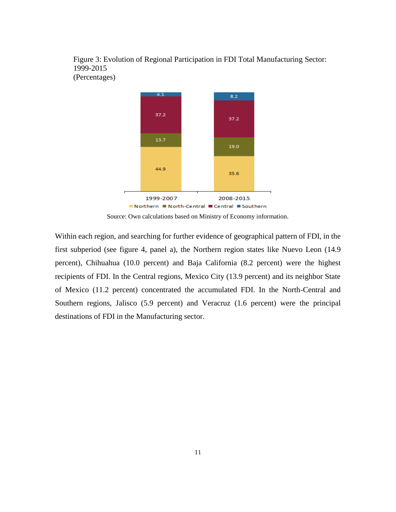Figure 3: Evolution of Regional Participation in FDI Total Manufacturing Sector: 1999-2015 (Percentages)



Source: Own calculations based on Ministry of Economy information.

Within each region, and searching for further evidence of geographical pattern of FDI, in the first subperiod (see figure 4, panel a), the Northern region states like Nuevo Leon (14.9 percent), Chihuahua (10.0 percent) and Baja California (8.2 percent) were the highest recipients of FDI. In the Central regions, Mexico City (13.9 percent) and its neighbor State of Mexico (11.2 percent) concentrated the accumulated FDI. In the North-Central and Southern regions, Jalisco (5.9 percent) and Veracruz (1.6 percent) were the principal destinations of FDI in the Manufacturing sector.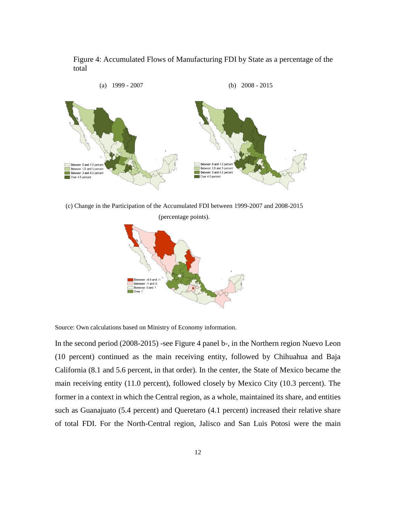Figure 4: Accumulated Flows of Manufacturing FDI by State as a percentage of the total



(c) Change in the Participation of the Accumulated FDI between 1999-2007 and 2008-2015

(percentage points).



Source: Own calculations based on Ministry of Economy information.

In the second period (2008-2015) -see Figure 4 panel b-, in the Northern region Nuevo Leon (10 percent) continued as the main receiving entity, followed by Chihuahua and Baja California (8.1 and 5.6 percent, in that order). In the center, the State of Mexico became the main receiving entity (11.0 percent), followed closely by Mexico City (10.3 percent). The former in a context in which the Central region, as a whole, maintained its share, and entities such as Guanajuato (5.4 percent) and Queretaro (4.1 percent) increased their relative share of total FDI. For the North-Central region, Jalisco and San Luis Potosi were the main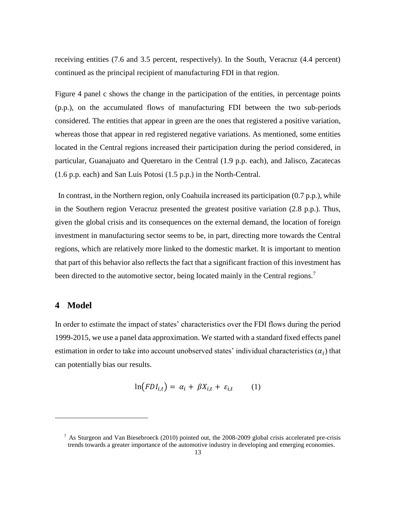receiving entities (7.6 and 3.5 percent, respectively). In the South, Veracruz (4.4 percent) continued as the principal recipient of manufacturing FDI in that region.

Figure 4 panel c shows the change in the participation of the entities, in percentage points (p.p.), on the accumulated flows of manufacturing FDI between the two sub-periods considered. The entities that appear in green are the ones that registered a positive variation, whereas those that appear in red registered negative variations. As mentioned, some entities located in the Central regions increased their participation during the period considered, in particular, Guanajuato and Queretaro in the Central (1.9 p.p. each), and Jalisco, Zacatecas (1.6 p.p. each) and San Luis Potosi (1.5 p.p.) in the North-Central.

In contrast, in the Northern region, only Coahuila increased its participation (0.7 p.p.), while in the Southern region Veracruz presented the greatest positive variation (2.8 p.p.). Thus, given the global crisis and its consequences on the external demand, the location of foreign investment in manufacturing sector seems to be, in part, directing more towards the Central regions, which are relatively more linked to the domestic market. It is important to mention that part of this behavior also reflects the fact that a significant fraction of this investment has been directed to the automotive sector, being located mainly in the Central regions.<sup>7</sup>

## **4 Model**

<u>.</u>

In order to estimate the impact of states' characteristics over the FDI flows during the period 1999-2015, we use a panel data approximation. We started with a standard fixed effects panel estimation in order to take into account unobserved states' individual characteristics  $(\alpha_i)$  that can potentially bias our results.

$$
\ln(FDI_{i,t}) = \alpha_i + \beta X_{i,t} + \varepsilon_{i,t} \tag{1}
$$

<sup>7</sup> As Sturgeon and Van Biesebroeck (2010) pointed out, the 2008-2009 global crisis accelerated pre-crisis trends towards a greater importance of the automotive industry in developing and emerging economies.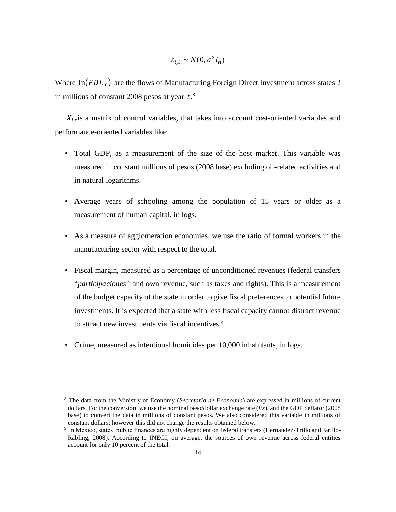$$
\varepsilon_{i,t} \sim N(0, \sigma^2 I_n)
$$

Where  $\ln(FDI_{i,t})$  are the flows of Manufacturing Foreign Direct Investment across states i in millions of constant 2008 pesos at year  $t$ .<sup>8</sup>

 $X_{i,t}$  is a matrix of control variables, that takes into account cost-oriented variables and performance-oriented variables like:

- Total GDP, as a measurement of the size of the host market. This variable was measured in constant millions of pesos (2008 base) excluding oil-related activities and in natural logarithms.
- Average years of schooling among the population of 15 years or older as a measurement of human capital, in logs.
- As a measure of agglomeration economies, we use the ratio of formal workers in the manufacturing sector with respect to the total.
- Fiscal margin, measured as a percentage of unconditioned revenues (federal transfers "*participaciones"* and own revenue, such as taxes and rights). This is a measurement of the budget capacity of the state in order to give fiscal preferences to potential future investments. It is expected that a state with less fiscal capacity cannot distract revenue to attract new investments via fiscal incentives.<sup>9</sup>
- Crime, measured as intentional homicides per 10,000 inhabitants, in logs.

<u>.</u>

<sup>8</sup> The data from the Ministry of Economy (*Secretaría de Economía*) are expressed in millions of current dollars. For the conversion, we use the nominal peso/dollar exchange rate (*fix*), and the GDP deflator (2008 base) to convert the data in millions of constant pesos. We also considered this variable in millions of constant dollars; however this did not change the results obtained below.

<sup>9</sup> In Mexico, states' public finances are highly dependent on federal transfers (Hernandez-Trillo and Jarillo-Rabling, 2008). According to INEGI, on average, the sources of own revenue across federal entities account for only 10 percent of the total.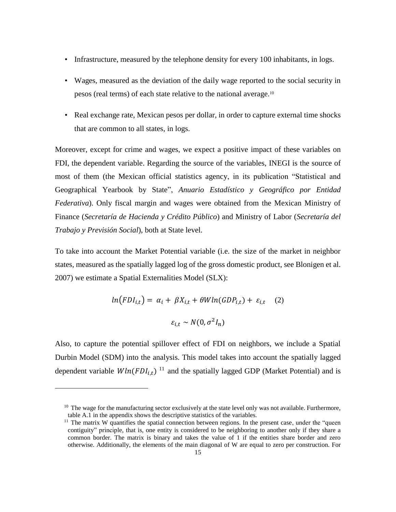- Infrastructure, measured by the telephone density for every 100 inhabitants, in logs.
- Wages, measured as the deviation of the daily wage reported to the social security in pesos (real terms) of each state relative to the national average.<sup>10</sup>
- Real exchange rate, Mexican pesos per dollar, in order to capture external time shocks that are common to all states, in logs.

Moreover, except for crime and wages, we expect a positive impact of these variables on FDI, the dependent variable. Regarding the source of the variables, INEGI is the source of most of them (the Mexican official statistics agency, in its publication "Statistical and Geographical Yearbook by State", *Anuario Estadístico y Geográfico por Entidad Federativa*). Only fiscal margin and wages were obtained from the Mexican Ministry of Finance (*Secretaría de Hacienda y Crédito Público*) and Ministry of Labor (*Secretaría del Trabajo y Previsión Social*), both at State level.

To take into account the Market Potential variable (i.e. the size of the market in neighbor states, measured as the spatially lagged log of the gross domestic product, see Blonigen et al. 2007) we estimate a Spatial Externalities Model (SLX):

$$
ln(FDI_{i,t}) = \alpha_i + \beta X_{i,t} + \theta W ln(GDP_{i,t}) + \varepsilon_{i,t} \quad (2)
$$

$$
\varepsilon_{i,t} \sim N(0, \sigma^2 I_n)
$$

Also, to capture the potential spillover effect of FDI on neighbors, we include a Spatial Durbin Model (SDM) into the analysis. This model takes into account the spatially lagged dependent variable  $Wln(FDI_{i,t})$ <sup>11</sup> and the spatially lagged GDP (Market Potential) and is

<u>.</u>

<sup>&</sup>lt;sup>10</sup> The wage for the manufacturing sector exclusively at the state level only was not available. Furthermore, table A.1 in the appendix shows the descriptive statistics of the variables.

 $11$  The matrix W quantifies the spatial connection between regions. In the present case, under the "queen" contiguity" principle, that is, one entity is considered to be neighboring to another only if they share a common border. The matrix is binary and takes the value of 1 if the entities share border and zero otherwise. Additionally, the elements of the main diagonal of W are equal to zero per construction. For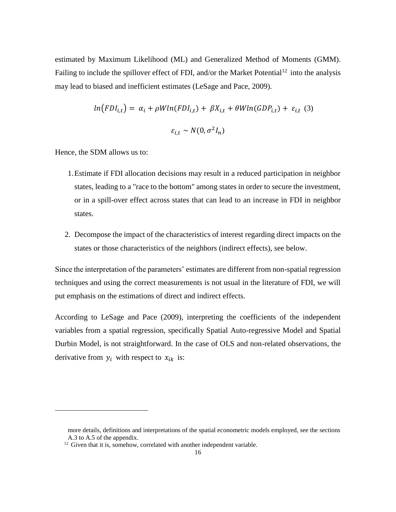estimated by Maximum Likelihood (ML) and Generalized Method of Moments (GMM). Failing to include the spillover effect of FDI, and/or the Market Potential<sup>12</sup> into the analysis may lead to biased and inefficient estimates (LeSage and Pace, 2009).

$$
ln(FDI_{i,t}) = \alpha_i + \rho Wln(FDI_{i,t}) + \beta X_{i,t} + \theta Wln(GDP_{i,t}) + \varepsilon_{i,t} \tag{3}
$$

$$
\varepsilon_{i,t} \sim N(0, \sigma^2 I_n)
$$

Hence, the SDM allows us to:

<u>.</u>

- 1.Estimate if FDI allocation decisions may result in a reduced participation in neighbor states, leading to a "race to the bottom" among states in order to secure the investment, or in a spill-over effect across states that can lead to an increase in FDI in neighbor states.
- 2. Decompose the impact of the characteristics of interest regarding direct impacts on the states or those characteristics of the neighbors (indirect effects), see below.

Since the interpretation of the parameters' estimates are different from non-spatial regression techniques and using the correct measurements is not usual in the literature of FDI, we will put emphasis on the estimations of direct and indirect effects.

According to LeSage and Pace (2009), interpreting the coefficients of the independent variables from a spatial regression, specifically Spatial Auto-regressive Model and Spatial Durbin Model, is not straightforward. In the case of OLS and non-related observations, the derivative from  $y_i$  with respect to  $x_{ik}$  is:

more details, definitions and interpretations of the spatial econometric models employed, see the sections A.3 to A.5 of the appendix.

<sup>&</sup>lt;sup>12</sup> Given that it is, somehow, correlated with another independent variable.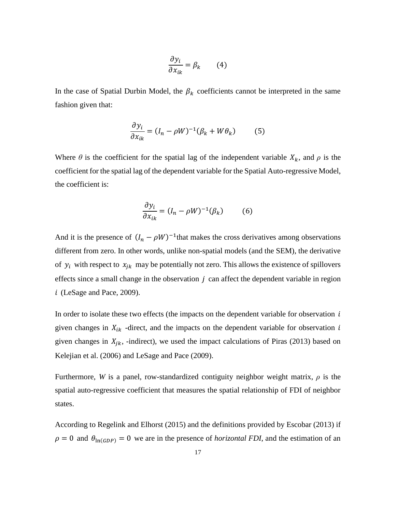$$
\frac{\partial y_i}{\partial x_{ik}} = \beta_k \qquad (4)
$$

In the case of Spatial Durbin Model, the  $\beta_k$  coefficients cannot be interpreted in the same fashion given that:

$$
\frac{\partial y_i}{\partial x_{ik}} = (I_n - \rho W)^{-1} (\beta_k + W \theta_k)
$$
 (5)

Where  $\theta$  is the coefficient for the spatial lag of the independent variable  $X_k$ , and  $\rho$  is the coefficient for the spatial lag of the dependent variable for the Spatial Auto-regressive Model, the coefficient is:

$$
\frac{\partial y_i}{\partial x_{ik}} = (I_n - \rho W)^{-1} (\beta_k)
$$
 (6)

And it is the presence of  $(I_n - \rho W)^{-1}$  that makes the cross derivatives among observations different from zero. In other words, unlike non-spatial models (and the SEM), the derivative of  $y_i$  with respect to  $x_{jk}$  may be potentially not zero. This allows the existence of spillovers effects since a small change in the observation  $j$  can affect the dependent variable in region  $i$  (LeSage and Pace, 2009).

In order to isolate these two effects (the impacts on the dependent variable for observation  $i$ given changes in  $X_{ik}$  -direct, and the impacts on the dependent variable for observation  $i$ given changes in  $X_{jk}$ , -indirect), we used the impact calculations of Piras (2013) based on Kelejian et al. (2006) and LeSage and Pace (2009).

Furthermore, *W* is a panel, row-standardized contiguity neighbor weight matrix, *ρ* is the spatial auto-regressive coefficient that measures the spatial relationship of FDI of neighbor states.

According to Regelink and Elhorst (2015) and the definitions provided by Escobar (2013) if  $\rho = 0$  and  $\theta_{\ln(GDP)} = 0$  we are in the presence of *horizontal FDI*, and the estimation of an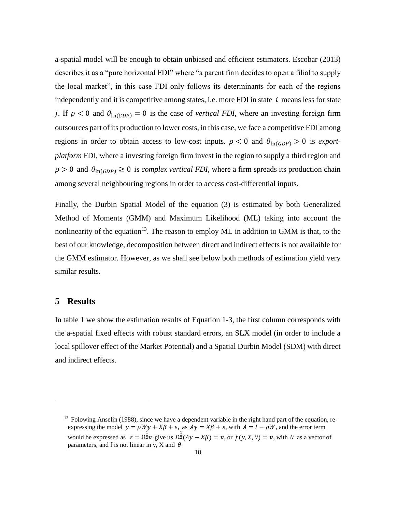a-spatial model will be enough to obtain unbiased and efficient estimators. Escobar (2013) describes it as a "pure horizontal FDI" where "a parent firm decides to open a filial to supply the local market", in this case FDI only follows its determinants for each of the regions independently and it is competitive among states, i.e. more FDI in state  $i$  means less for state j. If  $\rho < 0$  and  $\theta_{\ln(GDP)} = 0$  is the case of *vertical FDI*, where an investing foreign firm outsources part of its production to lower costs, in this case, we face a competitive FDI among regions in order to obtain access to low-cost inputs.  $\rho < 0$  and  $\theta_{\ln(GDP)} > 0$  is *exportplatform* FDI, where a investing foreign firm invest in the region to supply a third region and  $\rho > 0$  and  $\theta_{\ln(GDP)} \ge 0$  is *complex vertical FDI*, where a firm spreads its production chain among several neighbouring regions in order to access cost-differential inputs.

Finally, the Durbin Spatial Model of the equation (3) is estimated by both Generalized Method of Moments (GMM) and Maximum Likelihood (ML) taking into account the nonlinearity of the equation<sup>13</sup>. The reason to employ ML in addition to GMM is that, to the best of our knowledge, decomposition between direct and indirect effects is not availaible for the GMM estimator. However, as we shall see below both methods of estimation yield very similar results.

## **5 Results**

<u>.</u>

In table 1 we show the estimation results of Equation 1-3, the first column corresponds with the a-spatial fixed effects with robust standard errors, an SLX model (in order to include a local spillover effect of the Market Potential) and a Spatial Durbin Model (SDM) with direct and indirect effects.

 $13$  Folowing Anselin (1988), since we have a dependent variable in the right hand part of the equation, reexpressing the model  $y = \rho Wy + X\beta + \varepsilon$ , as  $Ay = X\beta + \varepsilon$ , with  $A = I - \rho W$ , and the error term would be expressed as  $\varepsilon = \Omega^{\frac{1}{2}}v$  give us  $\Omega^{\frac{1}{2}}(Ay - X\beta) = v$ , or  $f(y, X, \theta) = v$ , with  $\theta$  as a vector of parameters, and f is not linear in y, X and  $\theta$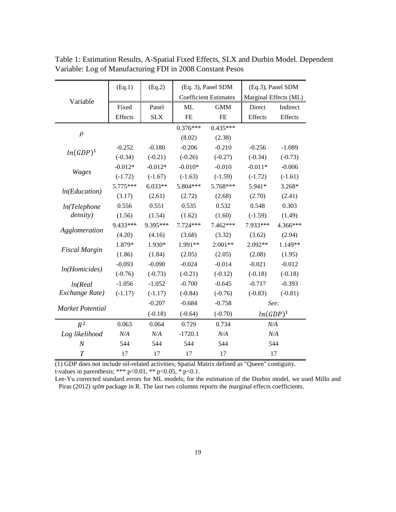|                       | (Eq.1)    | (Eq.2)     | (Eq. 3), Panel SDM           |            | (Eq.3), Panel SDM     |           |
|-----------------------|-----------|------------|------------------------------|------------|-----------------------|-----------|
| Variable              |           |            | <b>Coefficient Estimates</b> |            | Marginal Effects (ML) |           |
|                       | Fixed     | Panel      | ML                           | <b>GMM</b> | Direct                | Indirect  |
|                       | Effects   | <b>SLX</b> | FE                           | FE         | Effects               | Effects   |
|                       |           |            | $0.376***$                   | $0.435***$ |                       |           |
| $\rho$                |           |            | (8.02)                       | (2.38)     |                       |           |
|                       | $-0.252$  | $-0.180$   | $-0.206$                     | $-0.210$   | $-0.256$              | $-1.089$  |
| $ln(GDP)^1$           | $(-0.34)$ | $(-0.21)$  | $(-0.26)$                    | $(-0.27)$  | $(-0.34)$             | $(-0.73)$ |
|                       | $-0.012*$ | $-0.012*$  | $-0.010*$                    | $-0.010$   | $-0.011*$             | $-0.006$  |
| <b>Wages</b>          | $(-1.72)$ | $(-1.67)$  | $(-1.63)$                    | $(-1.59)$  | $(-1.72)$             | $(-1.61)$ |
| ln(Education)         | 5.775***  | $6.033**$  | 5.804***                     | 5.768***   | 5.941*                | 3.268*    |
|                       | (3.17)    | (2.61)     | (2.72)                       | (2.68)     | (2.70)                | (2.41)    |
| ln(Telephone          | 0.556     | 0.551      | 0.535                        | 0.532      | 0.548                 | 0.303     |
| <i>density</i> )      | (1.56)    | (1.54)     | (1.62)                       | (1.60)     | $(-1.59)$             | (1.49)    |
| Agglomeration         | 9.433***  | 9.395***   | $7.724***$                   | 7.462***   | 7.933***              | 4.366***  |
|                       | (4.20)    | (4.16)     | (3.68)                       | (3.32)     | (3.62)                | (2.94)    |
| <b>Fiscal Margin</b>  | 1.879*    | 1.930*     | 1.991**                      | $2.001**$  | 2.092**               | 1.149**   |
|                       | (1.86)    | (1.84)     | (2.05)                       | (2.05)     | (2.08)                | (1.95)    |
| <i>ln</i> (Homicides) | $-0.093$  | $-0.090$   | $-0.024$                     | $-0.014$   | $-0.021$              | $-0.012$  |
|                       | $(-0.76)$ | $(-0.73)$  | $(-0.21)$                    | $(-0.12)$  | $(-0.18)$             | $(-0.18)$ |
| ln(Real               | $-1.056$  | $-1.052$   | $-0.700$                     | $-0.645$   | $-0.717$              | $-0.393$  |
| Exchange Rate)        | $(-1.17)$ | $(-1.17)$  | $(-0.84)$                    | $(-0.76)$  | $(-0.83)$             | $(-0.81)$ |
| Market Potential      |           | $-0.207$   | $-0.684$                     | $-0.758$   | See:                  |           |
|                       |           | $(-0.18)$  | $(-0.64)$                    | $(-0.70)$  | $ln(GDP)^1$           |           |
| $R^2$                 | 0.063     | 0.064      | 0.729                        | 0.734      | N/A                   |           |
| Log likelihood        | N/A       | N/A        | $-1720.1$                    | N/A        |                       | N/A       |
| $\boldsymbol{N}$      | 544       | 544        | 544                          | 544        | 544                   |           |
| $\boldsymbol{T}$      | 17        | 17         | 17                           | 17         |                       | 17        |

Table 1: Estimation Results, A-Spatial Fixed Effects, SLX and Durbin Model. Dependent Variable: Log of Manufacturing FDI in 2008 Constant Pesos

(1) GDP does not include oil-related activities; Spatial Matrix defined as "Queen" contiguity. t-values in parenthesis; \*\*\* p<0.01, \*\* p<0.05, \* p<0.1.

Lee-Yu corrected standard errors for ML models; for the estimation of the Durbin model, we used Millo and Piras (2012) *splm* package in R. The last two columns reports the marginal effects coefficients.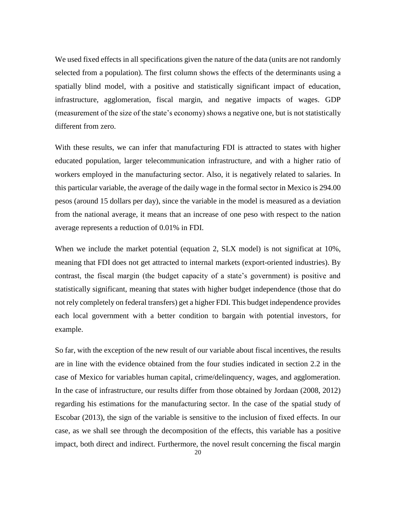We used fixed effects in all specifications given the nature of the data (units are not randomly selected from a population). The first column shows the effects of the determinants using a spatially blind model, with a positive and statistically significant impact of education, infrastructure, agglomeration, fiscal margin, and negative impacts of wages. GDP (measurement of the size of the state's economy) shows a negative one, but is not statistically different from zero.

With these results, we can infer that manufacturing FDI is attracted to states with higher educated population, larger telecommunication infrastructure, and with a higher ratio of workers employed in the manufacturing sector. Also, it is negatively related to salaries. In this particular variable, the average of the daily wage in the formal sector in Mexico is 294.00 pesos (around 15 dollars per day), since the variable in the model is measured as a deviation from the national average, it means that an increase of one peso with respect to the nation average represents a reduction of 0.01% in FDI.

When we include the market potential (equation 2, SLX model) is not significat at 10%, meaning that FDI does not get attracted to internal markets (export-oriented industries). By contrast, the fiscal margin (the budget capacity of a state's government) is positive and statistically significant, meaning that states with higher budget independence (those that do not rely completely on federal transfers) get a higher FDI. This budget independence provides each local government with a better condition to bargain with potential investors, for example.

So far, with the exception of the new result of our variable about fiscal incentives, the results are in line with the evidence obtained from the four studies indicated in section 2.2 in the case of Mexico for variables human capital, crime/delinquency, wages, and agglomeration. In the case of infrastructure, our results differ from those obtained by Jordaan (2008, 2012) regarding his estimations for the manufacturing sector. In the case of the spatial study of Escobar (2013), the sign of the variable is sensitive to the inclusion of fixed effects. In our case, as we shall see through the decomposition of the effects, this variable has a positive impact, both direct and indirect. Furthermore, the novel result concerning the fiscal margin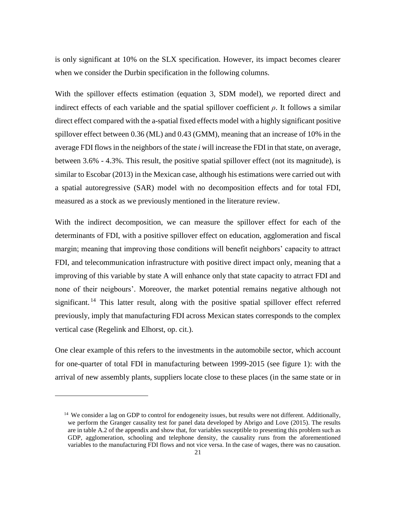is only significant at 10% on the SLX specification. However, its impact becomes clearer when we consider the Durbin specification in the following columns.

With the spillover effects estimation (equation 3, SDM model), we reported direct and indirect effects of each variable and the spatial spillover coefficient  $\rho$ . It follows a similar direct effect compared with the a-spatial fixed effects model with a highly significant positive spillover effect between 0.36 (ML) and 0.43 (GMM), meaning that an increase of 10% in the average FDI flowsin the neighbors of the state *i* will increase the FDI in that state, on average, between 3.6% - 4.3%. This result, the positive spatial spillover effect (not its magnitude), is similar to Escobar (2013) in the Mexican case, although his estimations were carried out with a spatial autoregressive (SAR) model with no decomposition effects and for total FDI, measured as a stock as we previously mentioned in the literature review.

With the indirect decomposition, we can measure the spillover effect for each of the determinants of FDI, with a positive spillover effect on education, agglomeration and fiscal margin; meaning that improving those conditions will benefit neighbors' capacity to attract FDI, and telecommunication infrastructure with positive direct impact only, meaning that a improving of this variable by state A will enhance only that state capacity to atrract FDI and none of their neigbours'. Moreover, the market potential remains negative although not significant.<sup>14</sup> This latter result, along with the positive spatial spillover effect referred previously, imply that manufacturing FDI across Mexican states corresponds to the complex vertical case (Regelink and Elhorst, op. cit.).

One clear example of this refers to the investments in the automobile sector, which account for one-quarter of total FDI in manufacturing between 1999-2015 (see figure 1): with the arrival of new assembly plants, suppliers locate close to these places (in the same state or in

<u>.</u>

<sup>&</sup>lt;sup>14</sup> We consider a lag on GDP to control for endogeneity issues, but results were not different. Additionally, we perform the Granger causality test for panel data developed by Abrigo and Love (2015). The results are in table A.2 of the appendix and show that, for variables susceptible to presenting this problem such as GDP, agglomeration, schooling and telephone density, the causality runs from the aforementioned variables to the manufacturing FDI flows and not vice versa. In the case of wages, there was no causation.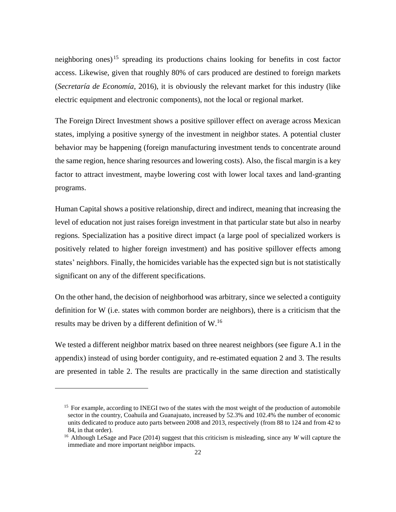neighboring ones) <sup>15</sup> spreading its productions chains looking for benefits in cost factor access. Likewise, given that roughly 80% of cars produced are destined to foreign markets (*Secretaría de Economía*, 2016), it is obviously the relevant market for this industry (like electric equipment and electronic components), not the local or regional market.

The Foreign Direct Investment shows a positive spillover effect on average across Mexican states, implying a positive synergy of the investment in neighbor states. A potential cluster behavior may be happening (foreign manufacturing investment tends to concentrate around the same region, hence sharing resources and lowering costs). Also, the fiscal margin is a key factor to attract investment, maybe lowering cost with lower local taxes and land-granting programs.

Human Capital shows a positive relationship, direct and indirect, meaning that increasing the level of education not just raises foreign investment in that particular state but also in nearby regions. Specialization has a positive direct impact (a large pool of specialized workers is positively related to higher foreign investment) and has positive spillover effects among states' neighbors. Finally, the homicides variable has the expected sign but is not statistically significant on any of the different specifications.

On the other hand, the decision of neighborhood was arbitrary, since we selected a contiguity definition for W (i.e. states with common border are neighbors), there is a criticism that the results may be driven by a different definition of W.<sup>16</sup>

We tested a different neighbor matrix based on three nearest neighbors (see figure A.1 in the appendix) instead of using border contiguity, and re-estimated equation 2 and 3. The results are presented in table 2. The results are practically in the same direction and statistically

<u>.</u>

<sup>&</sup>lt;sup>15</sup> For example, according to INEGI two of the states with the most weight of the production of automobile sector in the country, Coahuila and Guanajuato, increased by 52.3% and 102.4% the number of economic units dedicated to produce auto parts between 2008 and 2013, respectively (from 88 to 124 and from 42 to 84, in that order).

<sup>16</sup> Although LeSage and Pace (2014) suggest that this criticism is misleading, since any *W* will capture the immediate and more important neighbor impacts.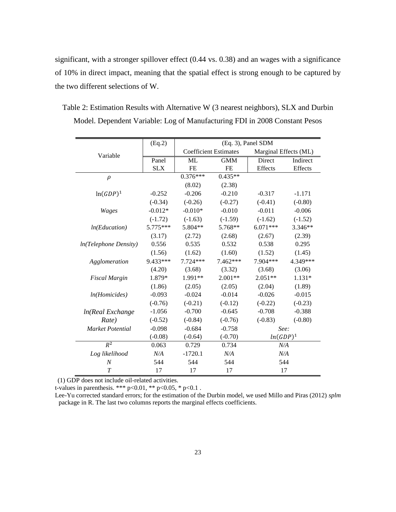significant, with a stronger spillover effect (0.44 vs. 0.38) and an wages with a significance of 10% in direct impact, meaning that the spatial effect is strong enough to be captured by the two different selections of W.

Table 2: Estimation Results with Alternative W (3 nearest neighbors), SLX and Durbin Model. Dependent Variable: Log of Manufacturing FDI in 2008 Constant Pesos

|                               | (Eq.2)     | (Eq. 3), Panel SDM           |            |                       |           |
|-------------------------------|------------|------------------------------|------------|-----------------------|-----------|
| Variable                      |            | <b>Coefficient Estimates</b> |            | Marginal Effects (ML) |           |
|                               | Panel      | ML                           | <b>GMM</b> | Direct                | Indirect  |
|                               | <b>SLX</b> | <b>FE</b>                    | <b>FE</b>  | Effects               | Effects   |
| $\rho$                        |            | $0.376***$                   | $0.435**$  |                       |           |
|                               |            | (8.02)                       | (2.38)     |                       |           |
| $ln(GDP)^1$                   | $-0.252$   | $-0.206$                     | $-0.210$   | $-0.317$              | $-1.171$  |
|                               | $(-0.34)$  | $(-0.26)$                    | $(-0.27)$  | $(-0.41)$             | $(-0.80)$ |
| Wages                         | $-0.012*$  | $-0.010*$                    | $-0.010$   | $-0.011$              | $-0.006$  |
|                               | $(-1.72)$  | $(-1.63)$                    | $(-1.59)$  | $(-1.62)$             | $(-1.52)$ |
| ln(Education)                 | $5.775***$ | 5.804**                      | 5.768**    | $6.071***$            | $3.346**$ |
|                               | (3.17)     | (2.72)                       | (2.68)     | (2.67)                | (2.39)    |
| <i>ln</i> (Telephone Density) | 0.556      | 0.535                        | 0.532      | 0.538                 | 0.295     |
|                               | (1.56)     | (1.62)                       | (1.60)     | (1.52)                | (1.45)    |
| Agglomeration                 | 9.433***   | $7.724***$                   | $7.462***$ | 7.904***              | 4.349***  |
|                               | (4.20)     | (3.68)                       | (3.32)     | (3.68)                | (3.06)    |
| <b>Fiscal Margin</b>          | 1.879*     | 1.991**                      | $2.001**$  | $2.051**$             | 1.131*    |
|                               | (1.86)     | (2.05)                       | (2.05)     | (2.04)                | (1.89)    |
| ln(Homicides)                 | $-0.093$   | $-0.024$                     | $-0.014$   | $-0.026$              | $-0.015$  |
|                               | $(-0.76)$  | $(-0.21)$                    | $(-0.12)$  | $(-0.22)$             | $(-0.23)$ |
| ln(Real Exchange              | $-1.056$   | $-0.700$                     | $-0.645$   | $-0.708$              | $-0.388$  |
| Rate)                         | $(-0.52)$  | $(-0.84)$                    | $(-0.76)$  | $(-0.83)$             | $(-0.80)$ |
| <b>Market Potential</b>       | $-0.098$   | $-0.684$                     | $-0.758$   | See:                  |           |
|                               | $(-0.08)$  | $(-0.64)$                    | $(-0.70)$  | $ln(GDP)^1$           |           |
| $R^2$                         | 0.063      | 0.729                        | 0.734      | N/A                   |           |
| Log likelihood                | N/A        | $-1720.1$                    | N/A        | N/A                   |           |
| $\boldsymbol{N}$              | 544        | 544                          | 544        | 544                   |           |
| $\overline{T}$                | 17         | 17                           | 17         | 17                    |           |

(1) GDP does not include oil-related activities.

t-values in parenthesis. \*\*\* p<0.01, \*\* p<0.05, \* p<0.1.

Lee-Yu corrected standard errors; for the estimation of the Durbin model, we used Millo and Piras (2012) *splm* package in R. The last two columns reports the marginal effects coefficients.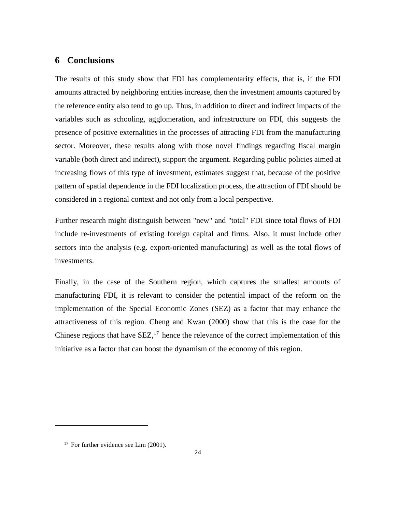#### **6 Conclusions**

The results of this study show that FDI has complementarity effects, that is, if the FDI amounts attracted by neighboring entities increase, then the investment amounts captured by the reference entity also tend to go up. Thus, in addition to direct and indirect impacts of the variables such as schooling, agglomeration, and infrastructure on FDI, this suggests the presence of positive externalities in the processes of attracting FDI from the manufacturing sector. Moreover, these results along with those novel findings regarding fiscal margin variable (both direct and indirect), support the argument. Regarding public policies aimed at increasing flows of this type of investment, estimates suggest that, because of the positive pattern of spatial dependence in the FDI localization process, the attraction of FDI should be considered in a regional context and not only from a local perspective.

Further research might distinguish between "new" and "total" FDI since total flows of FDI include re-investments of existing foreign capital and firms. Also, it must include other sectors into the analysis (e.g. export-oriented manufacturing) as well as the total flows of investments.

Finally, in the case of the Southern region, which captures the smallest amounts of manufacturing FDI, it is relevant to consider the potential impact of the reform on the implementation of the Special Economic Zones (SEZ) as a factor that may enhance the attractiveness of this region. Cheng and Kwan (2000) show that this is the case for the Chinese regions that have  $SEZ$ ,<sup>17</sup> hence the relevance of the correct implementation of this initiative as a factor that can boost the dynamism of the economy of this region.

1

<sup>&</sup>lt;sup>17</sup> For further evidence see Lim (2001).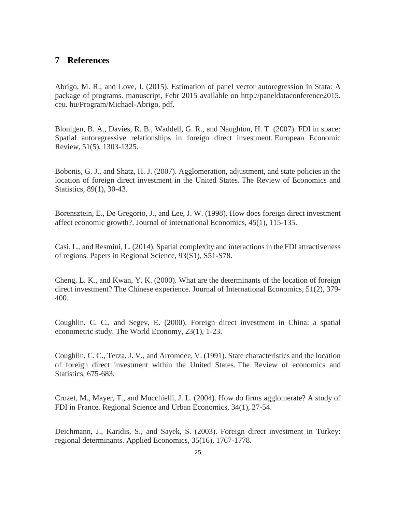### **7 References**

Abrigo, M. R., and Love, I. (2015). Estimation of panel vector autoregression in Stata: A package of programs. manuscript, Febr 2015 available on http://paneldataconference2015. ceu. hu/Program/Michael-Abrigo. pdf.

Blonigen, B. A., Davies, R. B., Waddell, G. R., and Naughton, H. T. (2007). FDI in space: Spatial autoregressive relationships in foreign direct investment. European Economic Review, 51(5), 1303-1325.

Bobonis, G. J., and Shatz, H. J. (2007). Agglomeration, adjustment, and state policies in the location of foreign direct investment in the United States. The Review of Economics and Statistics, 89(1), 30-43.

Borensztein, E., De Gregorio, J., and Lee, J. W. (1998). How does foreign direct investment affect economic growth?. Journal of international Economics, 45(1), 115-135.

Casi, L., and Resmini, L. (2014). Spatial complexity and interactions in the FDI attractiveness of regions. Papers in Regional Science, 93(S1), S51-S78.

Cheng, L. K., and Kwan, Y. K. (2000). What are the determinants of the location of foreign direct investment? The Chinese experience. Journal of International Economics, 51(2), 379- 400.

Coughlin, C. C., and Segev, E. (2000). Foreign direct investment in China: a spatial econometric study. The World Economy, 23(1), 1-23.

Coughlin, C. C., Terza, J. V., and Arromdee, V. (1991). State characteristics and the location of foreign direct investment within the United States. The Review of economics and Statistics, 675-683.

Crozet, M., Mayer, T., and Mucchielli, J. L. (2004). How do firms agglomerate? A study of FDI in France. Regional Science and Urban Economics, 34(1), 27-54.

Deichmann, J., Karidis, S., and Sayek, S. (2003). Foreign direct investment in Turkey: regional determinants. Applied Economics, 35(16), 1767-1778.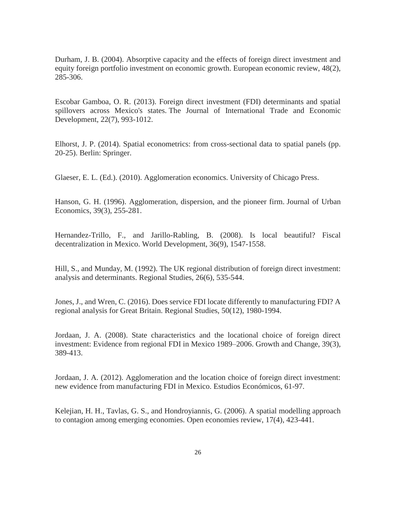Durham, J. B. (2004). Absorptive capacity and the effects of foreign direct investment and equity foreign portfolio investment on economic growth. European economic review, 48(2), 285-306.

Escobar Gamboa, O. R. (2013). Foreign direct investment (FDI) determinants and spatial spillovers across Mexico's states. The Journal of International Trade and Economic Development, 22(7), 993-1012.

Elhorst, J. P. (2014). Spatial econometrics: from cross-sectional data to spatial panels (pp. 20-25). Berlin: Springer.

Glaeser, E. L. (Ed.). (2010). Agglomeration economics. University of Chicago Press.

Hanson, G. H. (1996). Agglomeration, dispersion, and the pioneer firm. Journal of Urban Economics, 39(3), 255-281.

Hernandez-Trillo, F., and Jarillo-Rabling, B. (2008). Is local beautiful? Fiscal decentralization in Mexico. World Development, 36(9), 1547-1558.

Hill, S., and Munday, M. (1992). The UK regional distribution of foreign direct investment: analysis and determinants. Regional Studies, 26(6), 535-544.

Jones, J., and Wren, C. (2016). Does service FDI locate differently to manufacturing FDI? A regional analysis for Great Britain. Regional Studies, 50(12), 1980-1994.

Jordaan, J. A. (2008). State characteristics and the locational choice of foreign direct investment: Evidence from regional FDI in Mexico 1989–2006. Growth and Change, 39(3), 389-413.

Jordaan, J. A. (2012). Agglomeration and the location choice of foreign direct investment: new evidence from manufacturing FDI in Mexico. Estudios Económicos, 61-97.

Kelejian, H. H., Tavlas, G. S., and Hondroyiannis, G. (2006). A spatial modelling approach to contagion among emerging economies. Open economies review, 17(4), 423-441.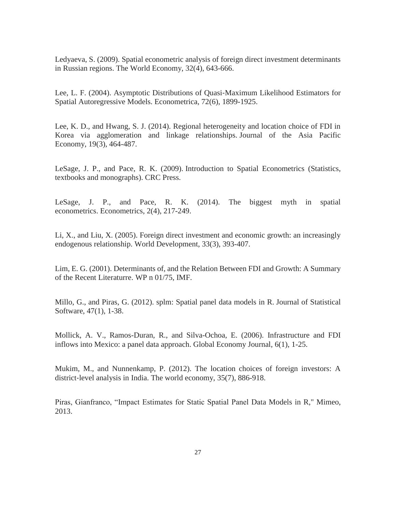Ledyaeva, S. (2009). Spatial econometric analysis of foreign direct investment determinants in Russian regions. The World Economy, 32(4), 643-666.

Lee, L. F. (2004). Asymptotic Distributions of Quasi-Maximum Likelihood Estimators for Spatial Autoregressive Models. Econometrica, 72(6), 1899-1925.

Lee, K. D., and Hwang, S. J. (2014). Regional heterogeneity and location choice of FDI in Korea via agglomeration and linkage relationships. Journal of the Asia Pacific Economy, 19(3), 464-487.

LeSage, J. P., and Pace, R. K. (2009). Introduction to Spatial Econometrics (Statistics, textbooks and monographs). CRC Press.

LeSage, J. P., and Pace, R. K. (2014). The biggest myth in spatial econometrics. Econometrics, 2(4), 217-249.

Li, X., and Liu, X. (2005). Foreign direct investment and economic growth: an increasingly endogenous relationship. World Development, 33(3), 393-407.

Lim, E. G. (2001). Determinants of, and the Relation Between FDI and Growth: A Summary of the Recent Literaturre. WP n 01/75, IMF.

Millo, G., and Piras, G. (2012). splm: Spatial panel data models in R. Journal of Statistical Software, 47(1), 1-38.

Mollick, A. V., Ramos-Duran, R., and Silva-Ochoa, E. (2006). Infrastructure and FDI inflows into Mexico: a panel data approach. Global Economy Journal, 6(1), 1-25.

Mukim, M., and Nunnenkamp, P. (2012). The location choices of foreign investors: A district-level analysis in India. The world economy, 35(7), 886-918.

Piras, Gianfranco, "Impact Estimates for Static Spatial Panel Data Models in R," Mimeo, 2013.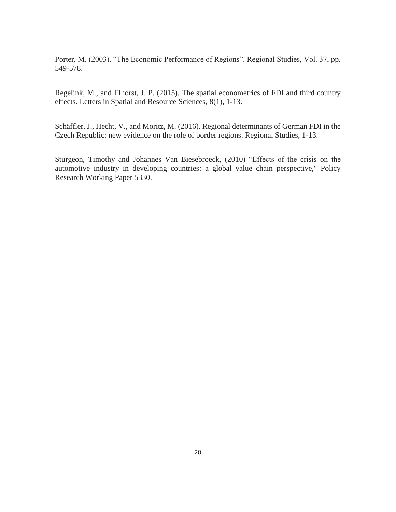Porter, M. (2003). "The Economic Performance of Regions". Regional Studies, Vol. 37, pp. 549-578.

Regelink, M., and Elhorst, J. P. (2015). The spatial econometrics of FDI and third country effects. Letters in Spatial and Resource Sciences, 8(1), 1-13.

Schäffler, J., Hecht, V., and Moritz, M. (2016). Regional determinants of German FDI in the Czech Republic: new evidence on the role of border regions. Regional Studies, 1-13.

Sturgeon, Timothy and Johannes Van Biesebroeck, (2010) "Effects of the crisis on the automotive industry in developing countries: a global value chain perspective," Policy Research Working Paper 5330.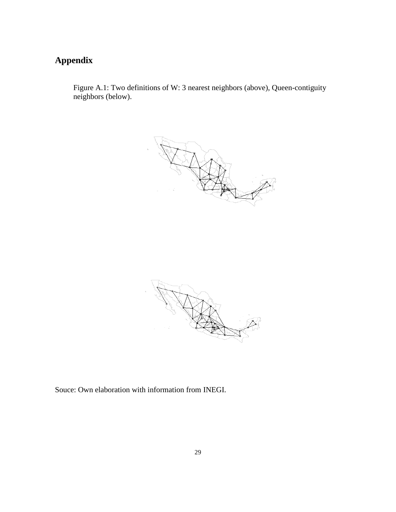# **Appendix**

Figure A.1: Two definitions of W: 3 nearest neighbors (above), Queen-contiguity neighbors (below).





Souce: Own elaboration with information from INEGI.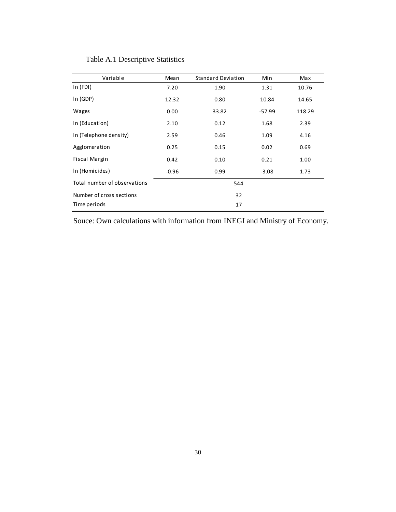| Variable                     | Mean    | Standard Deviation | Min     | Max    |  |
|------------------------------|---------|--------------------|---------|--------|--|
| ln(FDI)                      | 7.20    | 1.90               | 1.31    | 10.76  |  |
| In (GDP)                     | 12.32   | 0.80               | 10.84   | 14.65  |  |
| Wages                        | 0.00    | 33.82              | -57.99  | 118.29 |  |
| In (Education)               | 2.10    | 0.12               | 1.68    | 2.39   |  |
| In (Telephone density)       | 2.59    | 0.46               | 1.09    | 4.16   |  |
| Agglomeration                | 0.25    | 0.15               | 0.02    | 0.69   |  |
| Fiscal Margin                | 0.42    | 0.10               | 0.21    | 1.00   |  |
| In (Homicides)               | $-0.96$ | 0.99               | $-3.08$ | 1.73   |  |
| Total number of observations |         | 544                |         |        |  |
| Number of cross sections     |         | 32                 |         |        |  |
| Time periods                 | 17      |                    |         |        |  |

## Table A.1 Descriptive Statistics

Souce: Own calculations with information from INEGI and Ministry of Economy.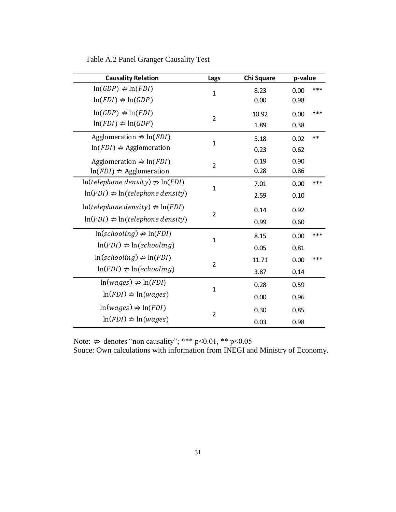| <b>Causality Relation</b>                         | Lags           | <b>Chi Square</b> | p-value |      |
|---------------------------------------------------|----------------|-------------------|---------|------|
| $ln(GDP) \nRightarrow ln(FDI)$                    | $\mathbf{1}$   | 8.23              | 0.00    | ***  |
| $ln(FDI) \nRightarrow ln(GDP)$                    |                | 0.00              | 0.98    |      |
| $ln(GDP) \nRightarrow ln(FDI)$                    | $\overline{2}$ | 10.92             | 0.00    | ***  |
| $ln(FDI) \nRightarrow ln(GDP)$                    |                | 1.89              | 0.38    |      |
| Agglomeration $\Rightarrow$ ln( <i>FDI</i> )      | $\mathbf{1}$   | 5.18              | 0.02    | $**$ |
| $\ln(FDI) \nRightarrow$ Agglomeration             |                | 0.23              | 0.62    |      |
| Agglomeration $\Rightarrow$ ln( <i>FDI</i> )      | $\overline{2}$ | 0.19              | 0.90    |      |
| $ln(FDI) \nRightarrow$ Agglomeration              |                | 0.28              | 0.86    |      |
| $\ln(telephone density) \nRightarrow \ln(FDI)$    | $\mathbf{1}$   | 7.01              | 0.00    | ***  |
| $\ln(FDI) \nRightarrow \ln(telephone density)$    |                | 2.59              | 0.10    |      |
| $\ln(t \, \text{elephone density}) \neq \ln(FDI)$ | $\overline{2}$ | 0.14              | 0.92    |      |
| $\ln(FDI) \nightharpoonup \ln(telephone density)$ |                | 0.99              | 0.60    |      |
| $ln(schooling) \nRightarrow ln(FDI)$              | $\mathbf{1}$   | 8.15              | 0.00    | ***  |
| $ln(FDI) \nRightarrow ln(schooling)$              |                | 0.05              | 0.81    |      |
| $\ln(schooling) \neq \ln(FDI)$                    | $\overline{2}$ | 11.71             | 0.00    | ***  |
| $ln(FDI) \nRightarrow ln(schooling)$              |                | 3.87              | 0.14    |      |
| $ln(wages) \nRightarrow ln(FDI)$                  | $\mathbf{1}$   | 0.28              | 0.59    |      |
| $ln(FDI) \nRightarrow ln(wages)$                  |                | 0.00              | 0.96    |      |
| $ln(wages) \nRightarrow ln(FDI)$                  |                | 0.30              | 0.85    |      |
| $ln(FDI) \nRightarrow ln(wages)$                  | $\overline{2}$ | 0.03              | 0.98    |      |

Table A.2 Panel Granger Causality Test

Note:  $\Rightarrow$  denotes "non causality"; \*\*\* p<0.01, \*\* p<0.05

Souce: Own calculations with information from INEGI and Ministry of Economy.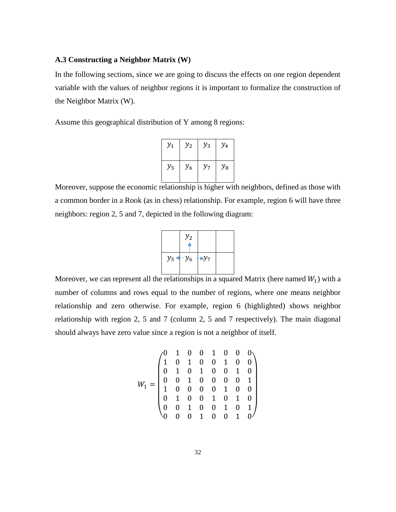#### **A.3 Constructing a Neighbor Matrix (W)**

In the following sections, since we are going to discuss the effects on one region dependent variable with the values of neighbor regions it is important to formalize the construction of the Neighbor Matrix (W).

Assume this geographical distribution of Y among 8 regions:

| $y_1$   | $y_{2}$ | $y_3$ | $y_4$   |
|---------|---------|-------|---------|
| $y_{5}$ | $y_{6}$ | $y_7$ | $y_{8}$ |

Moreover, suppose the economic relationship is higher with neighbors, defined as those with a common border in a Rook (as in chess) relationship. For example, region 6 will have three neighbors: region 2, 5 and 7, depicted in the following diagram:



Moreover, we can represent all the relationships in a squared Matrix (here named  $W_1$ ) with a number of columns and rows equal to the number of regions, where one means neighbor relationship and zero otherwise. For example, region 6 (highlighted) shows neighbor relationship with region 2, 5 and 7 (column 2, 5 and 7 respectively). The main diagonal should always have zero value since a region is not a neighbor of itself.

<sup>1</sup> = ( 0 1 0 0 1 0 0 0 1 0 1 0 0 1 0 0 0 1 0 1 0 0 1 0 0 0 1 0 0 0 0 1 1 0 0 0 0 1 0 0 0 1 0 0 1 0 1 0 0 0 1 0 0 1 0 1 0 0 0 1 0 0 1 0)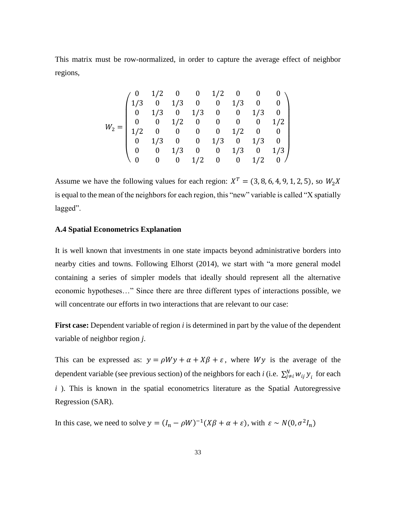This matrix must be row-normalized, in order to capture the average effect of neighbor regions,

$$
W_2 = \begin{pmatrix} 0 & 1/2 & 0 & 0 & 1/2 & 0 & 0 & 0 \\ 1/3 & 0 & 1/3 & 0 & 0 & 1/3 & 0 & 0 \\ 0 & 1/3 & 0 & 1/3 & 0 & 0 & 1/3 & 0 \\ 0 & 0 & 1/2 & 0 & 0 & 0 & 0 & 1/2 \\ 1/2 & 0 & 0 & 0 & 0 & 1/2 & 0 & 0 \\ 0 & 1/3 & 0 & 0 & 1/3 & 0 & 1/3 & 0 \\ 0 & 0 & 1/3 & 0 & 0 & 1/3 & 0 & 1/3 \\ 0 & 0 & 0 & 1/2 & 0 & 0 & 1/2 & 0 \end{pmatrix}
$$

Assume we have the following values for each region:  $X^T = (3, 8, 6, 4, 9, 1, 2, 5)$ , so  $W_2X$ is equal to the mean of the neighbors for each region, this "new" variable is called "X spatially lagged".

#### **A.4 Spatial Econometrics Explanation**

It is well known that investments in one state impacts beyond administrative borders into nearby cities and towns. Following Elhorst (2014), we start with "a more general model containing a series of simpler models that ideally should represent all the alternative economic hypotheses…" Since there are three different types of interactions possible, we will concentrate our efforts in two interactions that are relevant to our case:

**First case:** Dependent variable of region *i* is determined in part by the value of the dependent variable of neighbor region *j*.

This can be expressed as:  $y = \rho Wy + \alpha + X\beta + \varepsilon$ , where Wy is the average of the dependent variable (see previous section) of the neighbors for each *i* (i.e.  $\sum_{j\neq i}^{N} w_{ij} y_i$  for each *i*). This is known in the spatial econometrics literature as the Spatial Autoregressive Regression (SAR).

In this case, we need to solve  $y = (I_n - \rho W)^{-1} (X\beta + \alpha + \varepsilon)$ , with  $\varepsilon \sim N(0, \sigma^2 I_n)$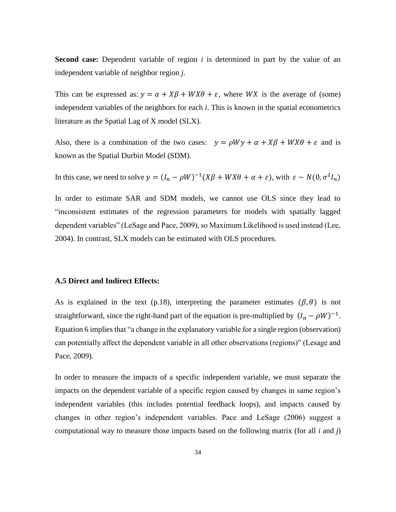**Second case:** Dependent variable of region *i* is determined in part by the value of an independent variable of neighbor region *j*.

This can be expressed as:  $y = \alpha + X\beta + WX\theta + \varepsilon$ , where WX is the average of (some) independent variables of the neighbors for each *i*. This is known in the spatial econometrics literature as the Spatial Lag of X model (SLX).

Also, there is a combination of the two cases:  $y = \rho W y + \alpha + X\beta + W X\theta + \varepsilon$  and is known as the Spatial Durbin Model (SDM).

In this case, we need to solve  $y = (I_n - \rho W)^{-1} (X\beta + WX\theta + \alpha + \varepsilon)$ , with  $\varepsilon \sim N(0, \sigma^2 I_n)$ 

In order to estimate SAR and SDM models, we cannot use OLS since they lead to "inconsistent estimates of the regression parameters for models with spatially lagged dependent variables" (LeSage and Pace, 2009), so Maximum Likelihood is used instead (Lee, 2004). In contrast, SLX models can be estimated with OLS procedures.

#### **A.5 Direct and Indirect Effects:**

As is explained in the text (p.18), interpreting the parameter estimates ( $\beta$ , $\theta$ ) is not straightforward, since the right-hand part of the equation is pre-multiplied by  $(I_n - \rho W)^{-1}$ . Equation 6 implies that "a change in the explanatory variable for a single region (observation) can potentially affect the dependent variable in all other observations (regions)" (Lesage and Pace, 2009).

In order to measure the impacts of a specific independent variable, we must separate the impacts on the dependent variable of a specific region caused by changes in same region's independent variables (this includes potential feedback loops), and impacts caused by changes in other region's independent variables. Pace and LeSage (2006) suggest a computational way to measure those impacts based on the following matrix (for all *i* and *j*)